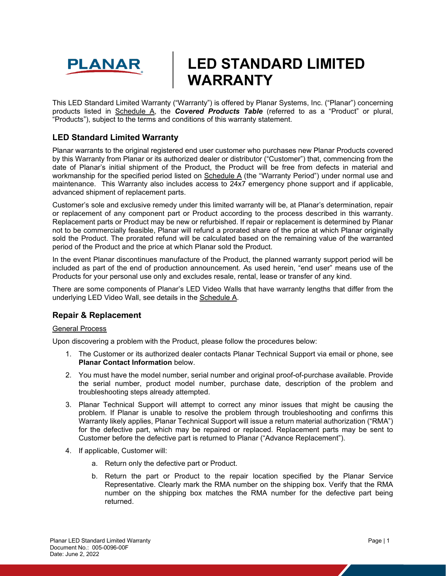

# **LED STANDARD LIMITED WARRANTY**

This LED Standard Limited Warranty ("Warranty") is offered by Planar Systems, Inc. ("Planar") concerning products listed in Schedule A, the *Covered Products Table* (referred to as a "Product" or plural, "Products"), subject to the terms and conditions of this warranty statement.

# **LED Standard Limited Warranty**

Planar warrants to the original registered end user customer who purchases new Planar Products covered by this Warranty from Planar or its authorized dealer or distributor ("Customer") that, commencing from the date of Planar's initial shipment of the Product, the Product will be free from defects in material and workmanship for the specified period listed on Schedule A (the "Warranty Period") under normal use and maintenance. This Warranty also includes access to 24x7 emergency phone support and if applicable, advanced shipment of replacement parts.

Customer's sole and exclusive remedy under this limited warranty will be, at Planar's determination, repair or replacement of any component part or Product according to the process described in this warranty. Replacement parts or Product may be new or refurbished. If repair or replacement is determined by Planar not to be commercially feasible, Planar will refund a prorated share of the price at which Planar originally sold the Product. The prorated refund will be calculated based on the remaining value of the warranted period of the Product and the price at which Planar sold the Product.

In the event Planar discontinues manufacture of the Product, the planned warranty support period will be included as part of the end of production announcement. As used herein, "end user" means use of the Products for your personal use only and excludes resale, rental, lease or transfer of any kind.

There are some components of Planar's LED Video Walls that have warranty lengths that differ from the underlying LED Video Wall, see details in the Schedule A.

# **Repair & Replacement**

#### General Process

Upon discovering a problem with the Product, please follow the procedures below:

- 1. The Customer or its authorized dealer contacts Planar Technical Support via email or phone, see **Planar Contact Information** below.
- 2. You must have the model number, serial number and original proof-of-purchase available. Provide the serial number, product model number, purchase date, description of the problem and troubleshooting steps already attempted.
- 3. Planar Technical Support will attempt to correct any minor issues that might be causing the problem. If Planar is unable to resolve the problem through troubleshooting and confirms this Warranty likely applies, Planar Technical Support will issue a return material authorization ("RMA") for the defective part, which may be repaired or replaced. Replacement parts may be sent to Customer before the defective part is returned to Planar ("Advance Replacement").
- 4. If applicable, Customer will:
	- a. Return only the defective part or Product.
	- b. Return the part or Product to the repair location specified by the Planar Service Representative. Clearly mark the RMA number on the shipping box. Verify that the RMA number on the shipping box matches the RMA number for the defective part being returned.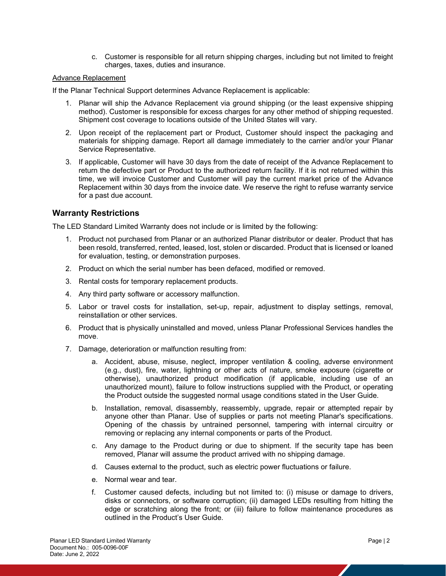c. Customer is responsible for all return shipping charges, including but not limited to freight charges, taxes, duties and insurance.

#### Advance Replacement

If the Planar Technical Support determines Advance Replacement is applicable:

- 1. Planar will ship the Advance Replacement via ground shipping (or the least expensive shipping method). Customer is responsible for excess charges for any other method of shipping requested. Shipment cost coverage to locations outside of the United States will vary.
- 2. Upon receipt of the replacement part or Product, Customer should inspect the packaging and materials for shipping damage. Report all damage immediately to the carrier and/or your Planar Service Representative.
- 3. If applicable, Customer will have 30 days from the date of receipt of the Advance Replacement to return the defective part or Product to the authorized return facility. If it is not returned within this time, we will invoice Customer and Customer will pay the current market price of the Advance Replacement within 30 days from the invoice date. We reserve the right to refuse warranty service for a past due account.

## **Warranty Restrictions**

The LED Standard Limited Warranty does not include or is limited by the following:

- 1. Product not purchased from Planar or an authorized Planar distributor or dealer. Product that has been resold, transferred, rented, leased, lost, stolen or discarded. Product that is licensed or loaned for evaluation, testing, or demonstration purposes.
- 2. Product on which the serial number has been defaced, modified or removed.
- 3. Rental costs for temporary replacement products.
- 4. Any third party software or accessory malfunction.
- 5. Labor or travel costs for installation, set-up, repair, adjustment to display settings, removal, reinstallation or other services.
- 6. Product that is physically uninstalled and moved, unless Planar Professional Services handles the move.
- 7. Damage, deterioration or malfunction resulting from:
	- a. Accident, abuse, misuse, neglect, improper ventilation & cooling, adverse environment (e.g., dust), fire, water, lightning or other acts of nature, smoke exposure (cigarette or otherwise), unauthorized product modification (if applicable, including use of an unauthorized mount), failure to follow instructions supplied with the Product, or operating the Product outside the suggested normal usage conditions stated in the User Guide.
	- b. Installation, removal, disassembly, reassembly, upgrade, repair or attempted repair by anyone other than Planar. Use of supplies or parts not meeting Planar's specifications. Opening of the chassis by untrained personnel, tampering with internal circuitry or removing or replacing any internal components or parts of the Product.
	- c. Any damage to the Product during or due to shipment. If the security tape has been removed, Planar will assume the product arrived with no shipping damage.
	- d. Causes external to the product, such as electric power fluctuations or failure.
	- e. Normal wear and tear.
	- f. Customer caused defects, including but not limited to: (i) misuse or damage to drivers, disks or connectors, or software corruption; (ii) damaged LEDs resulting from hitting the edge or scratching along the front; or (iii) failure to follow maintenance procedures as outlined in the Product's User Guide.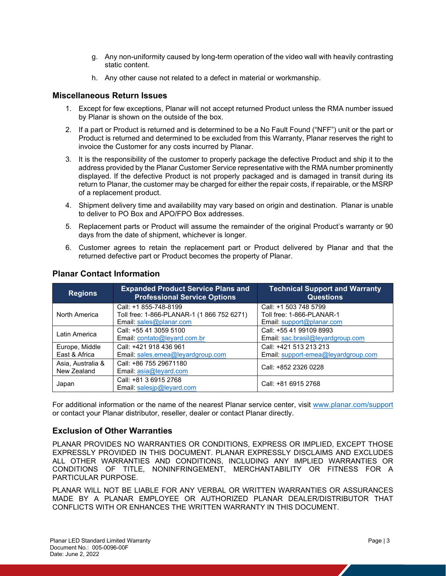- g. Any non-uniformity caused by long-term operation of the video wall with heavily contrasting static content.
- h. Any other cause not related to a defect in material or workmanship.

### **Miscellaneous Return Issues**

- 1. Except for few exceptions, Planar will not accept returned Product unless the RMA number issued by Planar is shown on the outside of the box.
- 2. If a part or Product is returned and is determined to be a No Fault Found ("NFF") unit or the part or Product is returned and determined to be excluded from this Warranty, Planar reserves the right to invoice the Customer for any costs incurred by Planar.
- 3. It is the responsibility of the customer to properly package the defective Product and ship it to the address provided by the Planar Customer Service representative with the RMA number prominently displayed. If the defective Product is not properly packaged and is damaged in transit during its return to Planar, the customer may be charged for either the repair costs, if repairable, or the MSRP of a replacement product.
- 4. Shipment delivery time and availability may vary based on origin and destination. Planar is unable to deliver to PO Box and APO/FPO Box addresses.
- 5. Replacement parts or Product will assume the remainder of the original Product's warranty or 90 days from the date of shipment, whichever is longer.
- 6. Customer agrees to retain the replacement part or Product delivered by Planar and that the returned defective part or Product becomes the property of Planar.

| <b>Regions</b>    | <b>Expanded Product Service Plans and</b><br><b>Professional Service Options</b> | <b>Technical Support and Warranty</b><br><b>Questions</b> |  |
|-------------------|----------------------------------------------------------------------------------|-----------------------------------------------------------|--|
| North America     | Call: +1 855-748-8199                                                            | Call: +1 503 748 5799                                     |  |
|                   | Toll free: 1-866-PLANAR-1 (1 866 752 6271)                                       | Toll free: 1-866-PLANAR-1                                 |  |
|                   | Email: sales@planar.com                                                          | Email: support@planar.com                                 |  |
| Latin America     | Call: +55 41 3059 5100                                                           | Call: +55 41 99109 8993                                   |  |
|                   | Email: contato@leyard.com.br                                                     | Email: sac.brasil@leyardgroup.com                         |  |
| Europe, Middle    | Call: +421 918 436 961                                                           | Call: +421 513 213 213                                    |  |
| East & Africa     | Email: sales.emea@leyardgroup.com                                                | Email: support-emea@leyardgroup.com                       |  |
| Asia, Australia & | Call: +86 755 29671180                                                           | Call: +852 2326 0228                                      |  |
| New Zealand       | Email: $asia@levard.com$                                                         |                                                           |  |
| Japan             | Call: +81 3 6915 2768                                                            | Call: +81 6915 2768                                       |  |
|                   | Email: salesip@leyard.com                                                        |                                                           |  |

# **Planar Contact Information**

For additional information or the name of the nearest Planar service center, visit [www.planar.com/support](http://www.planar.com/support) or contact your Planar distributor, reseller, dealer or contact Planar directly.

# **Exclusion of Other Warranties**

PLANAR PROVIDES NO WARRANTIES OR CONDITIONS, EXPRESS OR IMPLIED, EXCEPT THOSE EXPRESSLY PROVIDED IN THIS DOCUMENT. PLANAR EXPRESSLY DISCLAIMS AND EXCLUDES ALL OTHER WARRANTIES AND CONDITIONS, INCLUDING ANY IMPLIED WARRANTIES OR CONDITIONS OF TITLE, NONINFRINGEMENT, MERCHANTABILITY OR FITNESS FOR A PARTICULAR PURPOSE.

PLANAR WILL NOT BE LIABLE FOR ANY VERBAL OR WRITTEN WARRANTIES OR ASSURANCES MADE BY A PLANAR EMPLOYEE OR AUTHORIZED PLANAR DEALER/DISTRIBUTOR THAT CONFLICTS WITH OR ENHANCES THE WRITTEN WARRANTY IN THIS DOCUMENT.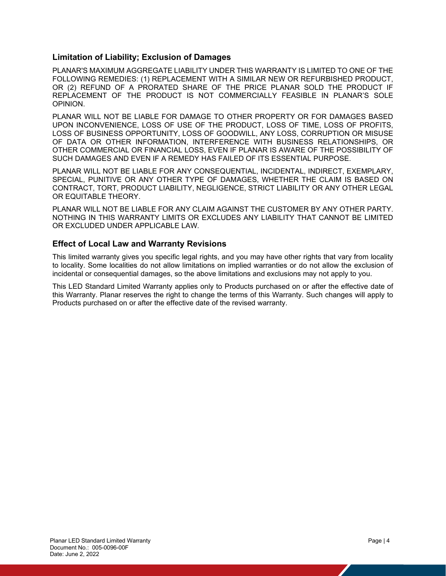### **Limitation of Liability; Exclusion of Damages**

PLANAR'S MAXIMUM AGGREGATE LIABILITY UNDER THIS WARRANTY IS LIMITED TO ONE OF THE FOLLOWING REMEDIES: (1) REPLACEMENT WITH A SIMILAR NEW OR REFURBISHED PRODUCT, OR (2) REFUND OF A PRORATED SHARE OF THE PRICE PLANAR SOLD THE PRODUCT IF REPLACEMENT OF THE PRODUCT IS NOT COMMERCIALLY FEASIBLE IN PLANAR'S SOLE OPINION.

PLANAR WILL NOT BE LIABLE FOR DAMAGE TO OTHER PROPERTY OR FOR DAMAGES BASED UPON INCONVENIENCE, LOSS OF USE OF THE PRODUCT, LOSS OF TIME, LOSS OF PROFITS, LOSS OF BUSINESS OPPORTUNITY, LOSS OF GOODWILL, ANY LOSS, CORRUPTION OR MISUSE OF DATA OR OTHER INFORMATION, INTERFERENCE WITH BUSINESS RELATIONSHIPS, OR OTHER COMMERCIAL OR FINANCIAL LOSS, EVEN IF PLANAR IS AWARE OF THE POSSIBILITY OF SUCH DAMAGES AND EVEN IF A REMEDY HAS FAILED OF ITS ESSENTIAL PURPOSE.

PLANAR WILL NOT BE LIABLE FOR ANY CONSEQUENTIAL, INCIDENTAL, INDIRECT, EXEMPLARY, SPECIAL, PUNITIVE OR ANY OTHER TYPE OF DAMAGES, WHETHER THE CLAIM IS BASED ON CONTRACT, TORT, PRODUCT LIABILITY, NEGLIGENCE, STRICT LIABILITY OR ANY OTHER LEGAL OR EQUITABLE THEORY.

PLANAR WILL NOT BE LIABLE FOR ANY CLAIM AGAINST THE CUSTOMER BY ANY OTHER PARTY. NOTHING IN THIS WARRANTY LIMITS OR EXCLUDES ANY LIABILITY THAT CANNOT BE LIMITED OR EXCLUDED UNDER APPLICABLE LAW.

## **Effect of Local Law and Warranty Revisions**

This limited warranty gives you specific legal rights, and you may have other rights that vary from locality to locality. Some localities do not allow limitations on implied warranties or do not allow the exclusion of incidental or consequential damages, so the above limitations and exclusions may not apply to you.

This LED Standard Limited Warranty applies only to Products purchased on or after the effective date of this Warranty. Planar reserves the right to change the terms of this Warranty. Such changes will apply to Products purchased on or after the effective date of the revised warranty.